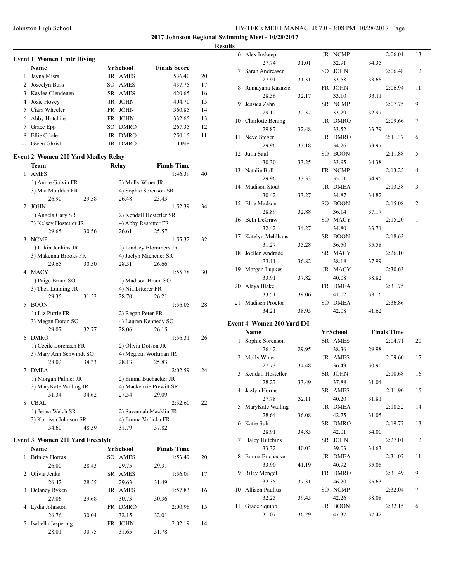**2017 Johnston Regional Swimming Meet - 10/28/2017**

#### **Results**

 $\sim$ 

| Event 1 Women 1 mtr Diving |                  |                    |                     |    |  |  |  |  |  |  |
|----------------------------|------------------|--------------------|---------------------|----|--|--|--|--|--|--|
|                            | Name             | YrSchool           | <b>Finals Score</b> |    |  |  |  |  |  |  |
| l                          | Jayna Misra      | <b>JR AMES</b>     | 536.40              | 20 |  |  |  |  |  |  |
| 2                          | Joscelyn Buss    | SO AMES            | 437.75              | 17 |  |  |  |  |  |  |
| 3                          | Kaylee Clendenen | SR AMES            | 420.65              | 16 |  |  |  |  |  |  |
| 4                          | Josie Hovey      | JOHN<br>JR         | 404.70              | 15 |  |  |  |  |  |  |
|                            | Ciara Wheeler    | FR JOHN            | 360.85              | 14 |  |  |  |  |  |  |
| 6                          | Abby Hutchins    | FR JOHN            | 332.65              | 13 |  |  |  |  |  |  |
|                            | Grace Epp        | <b>DMRO</b><br>SO. | 267.35              | 12 |  |  |  |  |  |  |
| 8                          | Ellie Odole      | <b>DMRO</b><br>JR  | 250.15              | 11 |  |  |  |  |  |  |
|                            | Gwen Ghrist      | <b>DMRO</b><br>JR  | <b>DNF</b>          |    |  |  |  |  |  |  |

### **Event 2 Women 200 Yard Medley Relay**

|   | Team                    |       | Relay                 | <b>Finals Time</b>      |    |  |  |
|---|-------------------------|-------|-----------------------|-------------------------|----|--|--|
| 1 | <b>AMES</b>             |       |                       | 1:46.39                 | 40 |  |  |
|   | 1) Annie Galvin FR      |       | 2) Molly Winer JR     |                         |    |  |  |
|   | 3) Mia Moulden FR       |       |                       | 4) Sophie Sorenson SR   |    |  |  |
|   | 26.90                   | 29.58 | 26.48                 | 23.43                   |    |  |  |
| 2 | <b>JOHN</b>             |       |                       | 1:52.39                 | 34 |  |  |
|   | 1) Angela Cary SR       |       |                       | 2) Kendall Hostetler SR |    |  |  |
|   | 3) Kelsey Hostetler JR  |       |                       | 4) Abby Rastetter FR    |    |  |  |
|   | 29.65                   | 30.56 | 26.61                 | 25.57                   |    |  |  |
| 3 | <b>NCMP</b>             |       |                       | 1:55.32                 | 32 |  |  |
|   | 1) Lakin Jenkins JR     |       |                       | 2) Lindsey Blommers JR  |    |  |  |
|   | 3) Makenna Brooks FR    |       | 4) Jaclyn Michener SR |                         |    |  |  |
|   | 29.65                   | 30.50 | 28.51                 | 26.66                   |    |  |  |
| 4 | <b>MACY</b>             |       |                       | 1:55.78                 | 30 |  |  |
|   | 1) Paige Braun SO       |       |                       | 2) Madison Braun SO     |    |  |  |
|   | 3) Thea Lunning JR      |       | 4) Nia Litterer FR    |                         |    |  |  |
|   | 29.35                   | 31.52 | 28.70                 | 26.21                   |    |  |  |
| 5 | <b>BOON</b>             |       |                       | 1:56.05                 | 28 |  |  |
|   | 1) Liz Purtle FR        |       | 2) Regan Peter FR     |                         |    |  |  |
|   | 3) Megan Doran SO       |       |                       | 4) Lauren Kennedy SO    |    |  |  |
|   | 29.07                   | 32.77 | 28.06                 | 26.15                   |    |  |  |
| 6 | <b>DMRO</b>             |       |                       | 1:56.31                 | 26 |  |  |
|   | 1) Cecile Lorenzen FR   |       | 2) Olivia Dotson JR   |                         |    |  |  |
|   | 3) Mary Ann Schwindt SO |       |                       | 4) Meghan Workman JR    |    |  |  |
|   | 28.02                   | 34.33 | 28.13                 | 25.83                   |    |  |  |
| 7 | <b>DMEA</b>             |       |                       | 2:02.59                 | 24 |  |  |
|   | 1) Morgan Palmer JR     |       |                       | 2) Emma Buchacker JR    |    |  |  |
|   | 3) MaryKate Walling JR  |       |                       | 4) Mackenzie Prewitt SR |    |  |  |
|   | 31.34                   | 34.62 | 27.54                 | 29.09                   |    |  |  |
| 8 | CBAL                    |       |                       | 2:32.60                 | 22 |  |  |
|   | 1) Jenna Welch SR       |       |                       | 2) Savannah Macklin JR  |    |  |  |
|   | 3) Korrissa Johnson SR  |       |                       | 4) Emma Vodicka FR      |    |  |  |
|   | 34.60                   | 48.39 | 31.79                 | 37.82                   |    |  |  |

### **Event 3 Women 200 Yard Freestyle**

|               | <b>Name</b>           |       |           | YrSchool    |       | <b>Finals Time</b> |    |
|---------------|-----------------------|-------|-----------|-------------|-------|--------------------|----|
| 1             | <b>Brinley Horras</b> |       | SO.       | <b>AMES</b> |       | 1:53.49            | 20 |
|               | 26.00                 | 28.43 |           | 29.75       | 29.31 |                    |    |
| $\mathcal{P}$ | Olivia Jenks          |       | SR.       | AMES        |       | 1:56.09            | 17 |
|               | 26.42                 | 28.55 |           | 29.63       | 31.49 |                    |    |
| 3             | Delaney Ryken         |       | JR        | AMES        |       | 1:57.83            | 16 |
|               | 27.06                 | 29.68 |           | 30.73       | 30.36 |                    |    |
| 4             | Lydia Johnston        |       | <b>FR</b> | <b>DMRO</b> |       | 2:00.96            | 15 |
|               | 26.76                 | 30.04 |           | 32.15       | 32.01 |                    |    |
| 5             | Isabella Jaspering    |       | FR.       | <b>JOHN</b> |       | 2:02.19            | 14 |
|               | 28.01                 | 30.75 |           | 31.65       | 31.78 |                    |    |

|    | 6 Alex Inskeep            |       |     | JR NCMP     |       | 2:06.01            | 13             |
|----|---------------------------|-------|-----|-------------|-------|--------------------|----------------|
|    | 27.74                     | 31.01 |     | 32.91       | 34.35 |                    |                |
| 7  | Sarah Andreasen           |       | SO. | <b>JOHN</b> |       | 2:06.48            | 12             |
|    | 27.91                     | 31.31 |     | 33.58       | 33.68 |                    |                |
| 8  | Ramayana Kazazic          |       | FR  | <b>JOHN</b> |       | 2:06.94            | 11             |
|    | 28.56                     | 32.17 |     | 33.10       | 33.11 |                    |                |
| 9  | Jessica Zahn              |       |     | SR NCMP     |       | 2:07.75            | 9              |
|    | 29.12                     | 32.37 |     | 33.29       | 32.97 |                    |                |
| 10 | Charlotte Bening          |       |     | JR DMRO     |       | 2:09.66            | 7              |
|    | 29.87                     | 32.48 |     | 33.52       | 33.79 |                    |                |
| 11 | Neve Steger               |       |     | JR DMRO     |       | 2:11.37            | 6              |
|    | 29.96                     | 33.18 |     | 34.26       | 33.97 |                    |                |
| 12 | Julia Saul                |       |     | SO BOON     |       | 2:11.88            | 5              |
|    | 30.30                     | 33.25 |     | 33.95       | 34.38 |                    |                |
| 13 | Natalie Boll              |       |     | FR NCMP     |       | 2:13.25            | 4              |
|    | 29.96                     | 33.33 |     | 35.01       | 34.95 |                    |                |
| 14 | <b>Madison Stout</b>      |       |     | JR DMEA     |       | 2:13.38            | 3              |
|    | 30.42                     | 33.27 |     | 34.87       | 34.82 |                    |                |
| 15 | Ellie Madson              |       |     | SO BOON     |       | 2:15.08            | $\overline{c}$ |
|    | 28.89                     | 32.88 |     | 36.14       | 37.17 |                    |                |
| 16 | Beth DeGraw               |       |     | SO MACY     |       | 2:15.20            | 1              |
|    | 32.42                     | 34.27 |     | 34.80       | 33.71 |                    |                |
| 17 | Katelyn Mehlhaus          |       |     | SR BOON     |       | 2:18.63            |                |
|    | 31.27                     | 35.28 |     | 36.50       | 35.58 |                    |                |
| 18 | Joellen Andrade           |       |     | SR MACY     |       | 2:26.10            |                |
|    | 33.11                     | 36.82 |     | 38.18       | 37.99 |                    |                |
| 19 | Morgan Lupkes             |       |     | JR MACY     |       | 2:30.63            |                |
|    | 33.91                     | 37.82 |     | 40.08       | 38.82 |                    |                |
| 20 | Alaya Blake               |       |     | FR DMEA     |       | 2:31.75            |                |
|    | 33.51                     | 39.06 |     | 41.02       | 38.16 |                    |                |
| 21 | Madisen Proctor           |       |     | SO DMEA     |       | 2:36.86            |                |
|    | 34.21                     | 38.95 |     | 42.08       | 41.62 |                    |                |
|    | Event 4 Women 200 Yard IM |       |     |             |       |                    |                |
|    | Name                      |       |     | YrSchool    |       | <b>Finals Time</b> |                |
| 1  | Sophie Sorenson           |       |     | SR AMES     |       | 2:04.71            | 20             |
|    | 26.42                     | 29.95 |     | 38.36       | 29.98 |                    |                |
| 2  | Molly Winer               |       |     | JR AMES     |       | 2:09.60            | 17             |
|    | 27.73                     | 34.48 |     | 36.49       | 30.90 |                    |                |
| 3  | Kendall Hostetler         |       |     | SR JOHN     |       | 2:10.68            | 16             |
|    | 28.27                     | 33.49 |     | 37.88       | 31.04 |                    |                |
| 4  | Jazlyn Horras             |       |     | SR AMES     |       | 2:11.90            | 15             |
|    | 27.78                     | 32.11 |     | 40.20       | 31.81 |                    |                |
| 5  | MaryKate Walling          |       |     | JR DMEA     |       | 2:18.52            | 14             |
|    | 28.64                     | 36.08 |     | 42.75       | 31.05 |                    |                |
| 6  | Katie Suh                 |       | SR  | <b>DMRO</b> |       | 2:19.77            | 13             |

28.91 34.85 42.01 34.00 7 Haley Hutchins SR JOHN 2:27.01 12 33.32 40.03 39.03 34.63 8 Emma Buchacker JR DMEA 2:31.07 11 33.90 41.19 40.92 35.06 9 Riley Mengel FR DMRO 2:31.49 9 32.35 37.31 46.20 35.63 10 Allison Paulius SO NCMP 2:32.04 7 32.25 39.45 42.26 38.08 11 Grace Squibb JR BOON 2:32.15 6 31.07 36.29 47.37 37.42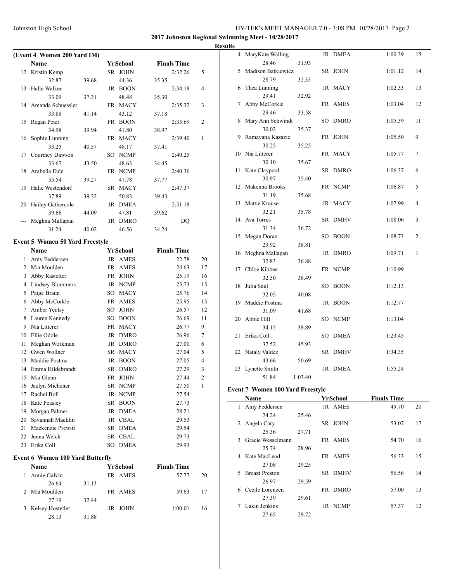**2017 Johnston Regional Swimming Meet - 10/28/2017**

|    |                                            |       |            |                    |       |                    |                | <b>Results</b> |
|----|--------------------------------------------|-------|------------|--------------------|-------|--------------------|----------------|----------------|
|    | (Event 4 Women 200 Yard IM)<br><b>Name</b> |       |            | <u>YrSchool</u>    |       | <b>Finals Time</b> |                |                |
| 12 | Kristin Kemp                               |       |            | SR JOHN            |       | 2:32.26            | 5              |                |
|    | 32.87                                      | 39.68 |            | 44.36              | 35.35 |                    |                |                |
| 13 | Halle Walker                               |       |            | JR BOON            |       | 2:34.18            | 4              |                |
|    | 33.09                                      | 37.31 |            | 48.48              | 35.30 |                    |                |                |
|    | 14 Amanda Schuessler                       |       |            | FR MACY            |       | 2:35.32            | 3              |                |
|    | 33.88                                      | 41.14 |            | 43.12              | 37.18 |                    |                |                |
| 15 | Regan Peter                                |       |            | FR BOON            |       | 2:35.69            | 2              |                |
|    | 34.98                                      | 39.94 |            | 41.80              | 38.97 |                    |                |                |
| 16 | Sophie Lunning                             |       |            | FR MACY            |       | 2:39.40            | 1              |                |
|    | 33.25                                      | 40.57 |            | 48.17              | 37.41 |                    |                |                |
| 17 | Courtney Dawson                            |       |            | SO NCMP            |       | 2:40.25            |                |                |
|    | 33.67                                      | 43.50 |            | 48.63              | 34.45 |                    |                |                |
| 18 | Arabella Eide                              |       |            | FR NCMP            |       | 2:40.36            |                |                |
|    | 35.54                                      | 39.27 |            | 47.78              | 37.77 |                    |                |                |
| 19 | Halie Westendorf                           |       |            | SR MACY            |       | 2:47.37            |                |                |
|    | 37.89                                      | 39.22 |            | 50.83              |       |                    |                |                |
| 20 | Hailey Gathercole                          |       |            | JR DMEA            | 39.43 | 2:51.18            |                |                |
|    | 39.66                                      | 44.09 |            | 47.81              | 39.62 |                    |                |                |
|    | Meghna Mallapan                            |       |            | JR DMRO            |       | DQ                 |                |                |
|    | 31.24                                      |       |            |                    |       |                    |                |                |
|    |                                            | 40.02 |            | 46.56              | 34.24 |                    |                |                |
|    | Event 5 Women 50 Yard Freestyle<br>Name    |       |            | YrSchool           |       | <b>Finals Time</b> |                |                |
| 1  | Amy Feddersen                              |       |            | JR AMES            |       | 22.78              | 20             |                |
|    | 2 Mia Moulden                              |       |            | FR AMES            |       | 24.63              | 17             |                |
| 3  | Abby Rastetter                             |       |            | FR JOHN            |       | 25.19              | 16             |                |
|    | 4 Lindsey Blommers                         |       |            | JR NCMP            |       | 25.73              | 15             |                |
| 5  | Paige Braun                                |       | SO         | <b>MACY</b>        |       | 25.76              | 14             |                |
| 6  | Abby McCorkle                              |       |            | FR AMES            |       | 25.95              | 13             |                |
| 7  | Amber Yeutsy                               |       | SO         | JOHN               |       | 26.57              | 12             |                |
| 8  | Lauren Kennedy                             |       |            | SO BOON            |       | 26.69              | 11             |                |
|    | 9 Nia Litterer                             |       |            | FR MACY            |       | 26.77              | 9              |                |
|    | 10 Ellie Odole                             |       |            |                    |       |                    |                |                |
|    |                                            |       |            | JR DMRO            |       | 26.96              | 7              |                |
| 11 | Meghan Workman<br>12 Gwen Wollner          |       |            | JR DMRO<br>SR MACY |       | 27.00              | 6              |                |
|    |                                            |       |            |                    |       | 27.04              | 5              |                |
| 13 | Maddie Postma                              |       |            | JR BOON            |       | 27.05              | $\overline{4}$ |                |
|    | 14 Emma Hildebrandt                        |       |            | SR DMRO            |       | 27.29              | 3              |                |
| 15 | Mia Glenn                                  |       |            | FR JOHN            |       | 27.44              | 2              |                |
| 16 | Jaclyn Michener                            |       | ${\rm SR}$ | <b>NCMP</b>        |       | 27.50              | 1              |                |
| 17 | Rachel Boll                                |       |            | JR NCMP            |       | 27.54              |                |                |
| 18 | Kate Peasley                               |       |            | SR BOON            |       | 27.73              |                |                |
| 19 | Morgan Palmer                              |       |            | JR DMEA            |       | 28.21              |                |                |
| 20 | Savannah Macklin                           |       |            | JR CBAL            |       | 29.53              |                |                |
| 21 | Mackenzie Prewitt                          |       |            | SR DMEA            |       | 29.54              |                |                |
|    | 22 Jenna Welch                             |       |            | SR CBAL            |       | 29.73              |                |                |
| 23 | Erika Coll                                 |       |            | SO DMEA            |       | 29.93              |                |                |

# **Event 6 Women 100 Yard Butterfly**

| Name               |       | YrSchool | <b>Finals Time</b> |    |
|--------------------|-------|----------|--------------------|----|
| 1 Annie Galvin     |       | FR AMES  | 57.77              | 20 |
| 26.64              | 31.13 |          |                    |    |
| 2 Mia Moulden      |       | FR AMES  | 59.63              | 17 |
| 27.19              | 32.44 |          |                    |    |
| 3 Kelsey Hostetler |       | JR JOHN  | 1:00.01            | 16 |
| 28.13              | 31.88 |          |                    |    |

| S  |                    |         |    |             |         |    |
|----|--------------------|---------|----|-------------|---------|----|
| 4  | MaryKate Walling   |         | JR | DMEA        | 1:00.39 | 15 |
|    | 28.46              | 31.93   |    |             |         |    |
| 5  | Madison Batkiewicz |         | SR | <b>JOHN</b> | 1:01.12 | 14 |
|    | 28.79              | 32.33   |    |             |         |    |
| 6  | Thea Lunning       |         |    | JR MACY     | 1:02.33 | 13 |
|    | 29.41              | 32.92   |    |             |         |    |
| 7  | Abby McCorkle      |         | FR | AMES        | 1:03.04 | 12 |
|    | 29.46              | 33.58   |    |             |         |    |
| 8  | Mary Ann Schwindt  |         | SO | DMRO        | 1:05.39 | 11 |
|    | 30.02              | 35.37   |    |             |         |    |
| 9  | Ramayana Kazazic   |         | FR | <b>JOHN</b> | 1:05.50 | 9  |
|    | 30.25              | 35.25   |    |             |         |    |
| 10 | Nia Litterer       |         |    | FR MACY     | 1:05.77 | 7  |
|    | 30.10              | 35.67   |    |             |         |    |
| 11 | Kate Claypool      |         | SR | DMRO        | 1:06.37 | 6  |
|    | 30.97              | 35.40   |    |             |         |    |
| 12 | Makenna Brooks     |         |    | FR NCMP     | 1:06.87 | 5  |
|    | 31.19              | 35.68   |    |             |         |    |
| 13 | Mattie Krause      |         | JR | MACY        | 1:07.99 | 4  |
|    | 32.21              | 35.78   |    |             |         |    |
| 14 | Ava Torres         |         | SR | DMHV        | 1:08.06 | 3  |
|    | 31.34              | 36.72   |    |             |         |    |
| 15 | Megan Doran        |         | SO | <b>BOON</b> | 1:08.73 | 2  |
|    | 29.92              | 38.81   |    |             |         |    |
| 16 | Meghna Mallapan    |         |    | JR DMRO     | 1:09.71 | 1  |
|    | 32.83              | 36.88   |    |             |         |    |
| 17 | Chloe Kibbee       |         | FR | <b>NCMP</b> | 1:10.99 |    |
|    | 32.50              | 38.49   |    |             |         |    |
| 18 | Julia Saul         |         | SO | <b>BOON</b> | 1:12.13 |    |
|    | 32.05              | 40.08   |    |             |         |    |
| 19 | Maddie Postma      |         | JR | <b>BOON</b> | 1:12.77 |    |
|    | 31.09              | 41.68   |    |             |         |    |
| 20 | Abbie Hill         |         | SO | <b>NCMP</b> | 1:13.04 |    |
|    | 34.15              | 38.89   |    |             |         |    |
| 21 | Erika Coll         |         | SO | DMEA        | 1:23.45 |    |
|    | 37.52              | 45.93   |    |             |         |    |
| 22 | Nataly Valdez      |         | SR | DMHV        | 1:34.35 |    |
|    | 43.66              | 50.69   |    |             |         |    |
| 23 | Lynette Smith      |         | JR | DMEA        | 1:55.24 |    |
|    | 51.84              | 1:03.40 |    |             |         |    |

# **Event 7 Women 100 Yard Freestyle**

|               | Name                  |       | <b>YrSchool</b> | <b>Finals Time</b> |    |
|---------------|-----------------------|-------|-----------------|--------------------|----|
| 1             | Amy Feddersen         |       | JR AMES         | 49.70              | 20 |
|               | 24.24                 | 25.46 |                 |                    |    |
| 2             | Angela Cary           |       | SR JOHN         | 53.07              | 17 |
|               | 25.36                 | 27.71 |                 |                    |    |
| $\mathcal{R}$ | Gracie Wesselmann     |       | FR AMES         | 54.70              | 16 |
|               | 25.74                 | 28.96 |                 |                    |    |
| 4             | Kate MacLeod          |       | FR AMES         | 56.33              | 15 |
|               | 27.08                 | 29.25 |                 |                    |    |
| 5.            | <b>Breazi Preston</b> |       | SR DMHV         | 56.56              | 14 |
|               | 26.97                 | 29.59 |                 |                    |    |
| 6             | Cecile Lorenzen       |       | FR DMRO         | 57.00              | 13 |
|               | 27.39                 | 29.61 |                 |                    |    |
|               | Lakin Jenkins         |       | <b>JR NCMP</b>  | 57.37              | 12 |
|               | 27.65                 | 29.72 |                 |                    |    |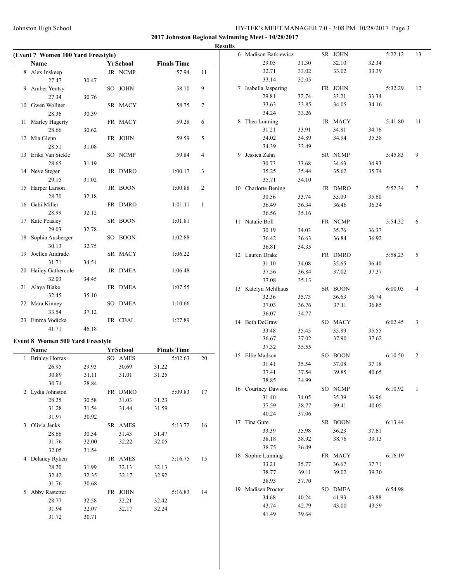**2017 Johnston Regional Swimming Meet - 10/28/2017**

|                                    |       |          |       |                    |        | <b>Results</b> |                      |       |         |       |         |                |
|------------------------------------|-------|----------|-------|--------------------|--------|----------------|----------------------|-------|---------|-------|---------|----------------|
| (Event 7 Women 100 Yard Freestyle) |       |          |       |                    |        |                | 6 Madison Batkiewicz |       | SR JOHN |       | 5:22.12 | 13             |
| Name                               |       | YrSchool |       | <b>Finals Time</b> |        |                | 29.05                | 31.30 | 32.10   | 32.34 |         |                |
| 8 Alex Inskeep                     |       | JR NCMP  |       | 57.94              | 11     |                | 32.71                | 33.02 | 33.02   | 33.39 |         |                |
| 27.47                              | 30.47 |          |       |                    |        |                | 33.14                | 32.05 |         |       |         |                |
| 9 Amber Yeutsy                     |       | SO JOHN  |       | 58.10              | 9      |                | 7 Isabella Jaspering |       | FR JOHN |       | 5:32.29 | 12             |
| 27.34                              | 30.76 |          |       |                    |        |                | 29.81                | 32.74 | 33.21   | 33.34 |         |                |
| 10 Gwen Wollner                    |       | SR MACY  |       | 58.75              | $\tau$ |                | 33.63                | 33.85 | 34.05   | 34.16 |         |                |
| 28.36                              | 30.39 |          |       |                    |        |                | 34.24                | 33.26 |         |       |         |                |
| 11 Marley Hagerty                  |       | FR MACY  |       | 59.28              | 6      |                | 8 Thea Lunning       |       | JR MACY |       | 5:41.80 | 11             |
| 28.66                              | 30.62 |          |       |                    |        |                | 31.21                | 33.91 | 34.81   | 34.76 |         |                |
| 12 Mia Glenn                       |       | FR JOHN  |       | 59.59              | 5      |                | 34.02                | 34.89 | 34.94   | 35.38 |         |                |
| 28.51                              | 31.08 |          |       |                    |        |                | 34.39                | 33.49 |         |       |         |                |
| 13 Erika Van Sickle                |       | SO NCMP  |       | 59.84              | 4      |                | 9 Jessica Zahn       |       | SR NCMP |       | 5:45.83 | 9              |
| 28.65                              | 31.19 |          |       |                    |        |                | 30.73                | 33.68 | 34.63   | 34.93 |         |                |
| 14 Neve Steger                     |       | JR DMRO  |       | 1:00.17            | 3      |                | 35.25                | 35.44 | 35.62   | 35.74 |         |                |
| 29.15                              | 31.02 |          |       |                    |        |                | 35.71                | 34.10 |         |       |         |                |
| 15 Harper Larson                   |       | JR BOON  |       | 1:00.88            | 2      |                | 10 Charlotte Bening  |       | JR DMRO |       | 5:52.34 | 7              |
| 28.70                              | 32.18 |          |       |                    |        |                | 30.56                | 33.74 | 35.09   | 35.60 |         |                |
| 16 Gabi Miller                     |       | FR DMRO  |       | 1:01.11            | -1     |                | 36.49                | 36.34 | 36.46   | 36.34 |         |                |
| 28.99                              | 32.12 |          |       |                    |        |                | 36.56                | 35.16 |         |       |         |                |
| 17 Kate Peasley                    |       | SR BOON  |       | 1:01.81            |        |                | 11 Natalie Boll      |       | FR NCMP |       | 5:54.32 | 6              |
| 29.03                              | 32.78 |          |       |                    |        |                | 30.19                | 34.03 | 35.76   | 36.37 |         |                |
| 18 Sophia Ausberger                |       | SO BOON  |       | 1:02.88            |        |                | 36.42                | 36.63 | 36.84   | 36.92 |         |                |
| 30.13                              | 32.75 |          |       |                    |        |                | 36.81                | 34.35 |         |       |         |                |
| 19 Joellen Andrade                 |       | SR MACY  |       | 1:06.22            |        |                | 12 Lauren Drake      |       | FR DMRO |       | 5:58.23 | 5              |
| 31.71                              | 34.51 |          |       |                    |        |                | 31.10                | 34.08 | 35.65   | 36.40 |         |                |
| 20 Hailey Gathercole               |       | JR DMEA  |       | 1:06.48            |        |                | 37.56                | 36.84 | 37.02   | 37.37 |         |                |
| 32.03                              | 34.45 |          |       |                    |        |                | 37.08                | 35.13 |         |       |         |                |
| 21 Alaya Blake                     |       | FR DMEA  |       | 1:07.55            |        |                |                      |       |         |       |         |                |
| 32.45                              | 35.10 |          |       |                    |        |                | 13 Katelyn Mehlhaus  |       | SR BOON |       | 6:00.05 | 4              |
| 22 Mara Kinney                     |       | SO DMEA  |       | 1:10.66            |        |                | 32.36                | 35.73 | 36.63   | 36.74 |         |                |
| 33.54                              | 37.12 |          |       |                    |        |                | 37.03                | 36.76 | 37.11   | 36.85 |         |                |
| 23 Emma Vodicka                    |       | FR CBAL  |       | 1:27.89            |        |                | 36.07                | 34.77 |         |       |         |                |
| 41.71                              | 46.18 |          |       |                    |        |                | 14 Beth DeGraw       |       | SO MACY |       | 6:02.45 | 3              |
|                                    |       |          |       |                    |        |                | 33.48                | 35.45 | 35.89   | 35.55 |         |                |
| Event 8 Women 500 Yard Freestyle   |       |          |       |                    |        |                | 36.67                | 37.02 | 37.90   | 37.62 |         |                |
| <b>Name</b>                        |       | YrSchool |       | <b>Finals Time</b> |        |                | 37.32                | 35.55 |         |       |         |                |
| 1 Brinley Horras                   |       | SO AMES  |       | 5:02.63            | 20     |                | 15 Ellie Madson      |       | SO BOON |       | 6:10.50 | 2              |
| 26.95                              | 29.93 | 30.69    | 31.22 |                    |        |                | 31.41                | 35.54 | 37.08   | 37.18 |         |                |
| 30.89                              | 31.11 | 31.01    | 31.25 |                    |        |                | 37.41                | 37.54 | 39.85   | 40.65 |         |                |
| 30.74                              | 28.84 |          |       |                    |        |                | 38.85                | 34.99 |         |       |         |                |
| 2 Lydia Johnston                   |       | FR DMRO  |       | 5:09.83            | 17     |                | 16 Courtney Dawson   |       | SO NCMP |       | 6:10.92 | $\overline{1}$ |
| 28.25                              | 30.58 | 31.03    | 31.23 |                    |        |                | 31.40                | 34.05 | 35.39   | 36.96 |         |                |
| 31.28                              | 31.54 | 31.44    | 31.59 |                    |        |                | 37.59                | 38.77 | 39.41   | 40.05 |         |                |
| 31.97                              | 30.92 |          |       |                    |        |                | 40.24                | 37.06 |         |       |         |                |
| 3 Olivia Jenks                     |       | SR AMES  |       | 5:13.72            | 16     |                | 17 Tina Gute         |       | SR BOON |       | 6:13.44 |                |
| 28.66                              | 30.54 | 31.43    | 31.47 |                    |        |                | 33.39                | 35.98 | 36.23   | 37.61 |         |                |
| 31.76                              | 32.00 | 32.22    | 32.05 |                    |        |                | 38.18                | 38.92 | 38.76   | 39.13 |         |                |
| 32.05                              | 31.54 |          |       |                    |        |                | 38.75                | 36.49 |         |       |         |                |
| 4 Delaney Ryken                    |       | JR AMES  |       | 5:16.75            | 15     |                | 18 Sophie Lunning    |       | FR MACY |       | 6:16.19 |                |
| 28.20                              | 31.99 | 32.13    | 32.13 |                    |        |                | 33.21                | 35.77 | 36.67   | 37.71 |         |                |
| 32.42                              | 32.35 | 32.17    | 32.92 |                    |        |                | 38.77                | 39.11 | 39.02   | 39.30 |         |                |
| 31.76                              | 30.68 |          |       |                    |        |                | 38.93                | 37.70 |         |       |         |                |
| 5 Abby Rastetter                   |       | FR JOHN  |       | 5:16.83            | 14     |                | 19 Madisen Proctor   |       | SO DMEA |       | 6:54.98 |                |
| 28.77                              | 32.58 | 32.21    | 32.42 |                    |        |                | 34.68                | 40.24 | 41.93   | 43.88 |         |                |
| 31.94                              | 32.07 | 32.17    | 32.24 |                    |        |                | 43.74                | 42.79 | 43.00   | 43.59 |         |                |
| 31.72                              | 30.71 |          |       |                    |        |                | 41.49                | 39.64 |         |       |         |                |
|                                    |       |          |       |                    |        |                |                      |       |         |       |         |                |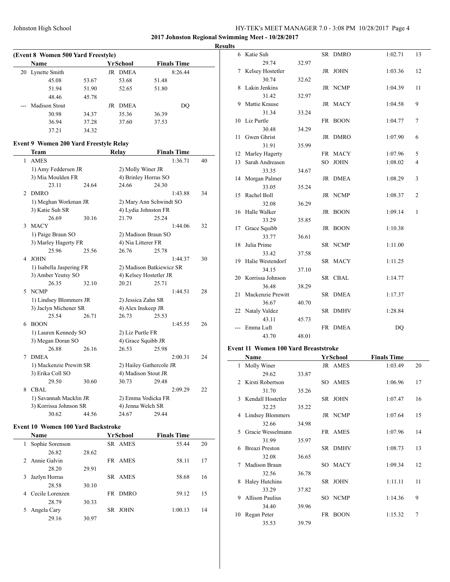**2017 Johnston Regional Swimming Meet - 10/28/2017**

**Results**

|    | (Event 8 Women 500 Yard Freestyle) |       |                   |       |                    |  |  |  |  |  |  |
|----|------------------------------------|-------|-------------------|-------|--------------------|--|--|--|--|--|--|
|    | Name                               |       | YrSchool          |       | <b>Finals Time</b> |  |  |  |  |  |  |
| 20 | Lynette Smith                      |       | <b>DMEA</b><br>JR |       | 8:26.44            |  |  |  |  |  |  |
|    | 45.08                              | 53.67 | 53.68             | 51.48 |                    |  |  |  |  |  |  |
|    | 51.94                              | 51.90 | 52.65             | 51.80 |                    |  |  |  |  |  |  |
|    | 48.46                              | 45.78 |                   |       |                    |  |  |  |  |  |  |
|    | <b>Madison Stout</b>               |       | <b>DMEA</b><br>JR |       | DO                 |  |  |  |  |  |  |
|    | 30.98                              | 34.37 | 35.36             | 36.39 |                    |  |  |  |  |  |  |
|    | 36.94                              | 37.28 | 37.60             | 37.53 |                    |  |  |  |  |  |  |
|    | 37.21                              | 34.32 |                   |       |                    |  |  |  |  |  |  |

#### **Event 9 Women 200 Yard Freestyle Relay**

|                | Team                     |       | Relay               | <b>Finals Time</b>       |    |
|----------------|--------------------------|-------|---------------------|--------------------------|----|
| 1              | <b>AMES</b>              |       |                     | 1:36.71                  | 40 |
|                | 1) Amy Feddersen JR      |       | 2) Molly Winer JR   |                          |    |
|                | 3) Mia Moulden FR        |       |                     | 4) Brinley Horras SO     |    |
|                | 23.11                    | 24.64 | 24.66               | 24.30                    |    |
| $\overline{c}$ | <b>DMRO</b>              |       |                     | 1:43.88                  | 34 |
|                | 1) Meghan Workman JR     |       |                     | 2) Mary Ann Schwindt SO  |    |
|                | 3) Katie Suh SR          |       |                     | 4) Lydia Johnston FR     |    |
|                | 26.69                    | 30.16 | 21.79               | 25.24                    |    |
| 3              | <b>MACY</b>              |       |                     | 1:44.06                  | 32 |
|                | 1) Paige Braun SO        |       |                     | 2) Madison Braun SO      |    |
|                | 3) Marley Hagerty FR     |       | 4) Nia Litterer FR  |                          |    |
|                | 25.96                    | 25.56 | 26.76               | 25.78                    |    |
| 4              | <b>JOHN</b>              |       |                     | 1:44.37                  | 30 |
|                | 1) Isabella Jaspering FR |       |                     | 2) Madison Batkiewicz SR |    |
|                | 3) Amber Yeutsy SO       |       |                     | 4) Kelsey Hostetler JR   |    |
|                | 26.35                    | 32.10 | 20.21               | 25.71                    |    |
| 5              | <b>NCMP</b>              |       |                     | 1:44.51                  | 28 |
|                | 1) Lindsey Blommers JR   |       | 2) Jessica Zahn SR  |                          |    |
|                | 3) Jaclyn Michener SR    |       | 4) Alex Inskeep JR  |                          |    |
|                | 25.54                    | 26.71 | 26.73               | 25.53                    |    |
| 6              | <b>BOON</b>              |       |                     | 1:45.55                  | 26 |
|                | 1) Lauren Kennedy SO     |       | 2) Liz Purtle FR    |                          |    |
|                | 3) Megan Doran SO        |       | 4) Grace Squibb JR  |                          |    |
|                | 26.88                    | 26.16 | 26.53               | 25.98                    |    |
| 7              | <b>DMEA</b>              |       |                     | 2:00.31                  | 24 |
|                | 1) Mackenzie Prewitt SR  |       |                     | 2) Hailey Gathercole JR  |    |
|                | 3) Erika Coll SO         |       | 4) Madison Stout JR |                          |    |
|                | 29.50                    | 30.60 | 30.73               | 29.48                    |    |
| 8              | CBAL                     |       |                     | 2:09.29                  | 22 |
|                | 1) Savannah Macklin JR   |       |                     | 2) Emma Vodicka FR       |    |
|                | 3) Korrissa Johnson SR   |       | 4) Jenna Welch SR   |                          |    |
|                | 30.62                    | 44.56 | 24.67               | 29.44                    |    |

### **Event 10 Women 100 Yard Backstroke**

|    | Name            |       | YrSchool           | <b>Finals Time</b> |    |
|----|-----------------|-------|--------------------|--------------------|----|
| 1  | Sophie Sorenson |       | SR AMES            | 55.44              | 20 |
|    | 26.82           | 28.62 |                    |                    |    |
|    | 2 Annie Galvin  |       | FR AMES            | 58.11              | 17 |
|    | 28.20           | 29.91 |                    |                    |    |
| 3  | Jazlyn Horras   |       | SR AMES            | 58.68              | 16 |
|    | 28.58           | 30.10 |                    |                    |    |
| 4  | Cecile Lorenzen |       | <b>DMRO</b><br>FR. | 59.12              | 15 |
|    | 28.79           | 30.33 |                    |                    |    |
| 5. | Angela Cary     |       | <b>JOHN</b><br>SR. | 1:00.13            | 14 |
|    | 29.16           | 30.97 |                    |                    |    |

| ٠  |                                                                            |        |         |                         |                |
|----|----------------------------------------------------------------------------|--------|---------|-------------------------|----------------|
|    | 6 Katie Suh                                                                |        | SR DMRO | 1:02.71                 | 13             |
|    | 29.74                                                                      | 32.97  |         |                         |                |
| 7  | Kelsey Hostetler                                                           |        | JR JOHN | 1:03.36                 | 12             |
|    | 30.74                                                                      | 32.62  |         |                         |                |
| 8  | Lakin Jenkins                                                              |        | JR NCMP | 1:04.39                 | 11             |
|    | 31.42                                                                      | 32.97  |         |                         |                |
| 9  | Mattie Krause                                                              |        | JR MACY | 1:04.58                 | 9              |
|    | 31.34                                                                      | 33.24  |         |                         |                |
| 10 | Liz Purtle                                                                 |        | FR BOON | 1:04.77                 | $\tau$         |
|    | 30.48                                                                      | 34.29  |         |                         |                |
| 11 | Gwen Ghrist                                                                |        | JR DMRO | 1:07.90                 | 6              |
|    | 31.91                                                                      | 35.99  |         |                         |                |
|    | 12 Marley Hagerty                                                          |        | FR MACY | 1:07.96                 | 5              |
| 13 | Sarah Andreasen                                                            |        | SO JOHN | 1:08.02                 | $\overline{4}$ |
|    | 33.35                                                                      | 34.67  |         |                         |                |
| 14 | Morgan Palmer                                                              |        | JR DMEA | 1:08.29                 | 3              |
|    | 33.05                                                                      | 35.24  |         |                         |                |
| 15 | Rachel Boll                                                                |        | JR NCMP | 1:08.37                 | $\overline{2}$ |
|    | 32.08                                                                      | 36.29  |         |                         |                |
| 16 | Halle Walker                                                               |        | JR BOON | $\mathbf{1}$<br>1:09.14 |                |
|    | 33.29                                                                      | 35.85  |         |                         |                |
| 17 | Grace Squibb                                                               |        | JR BOON | 1:10.38                 |                |
|    | 33.77                                                                      | 36.61  |         |                         |                |
| 18 | Julia Prime                                                                |        | SR NCMP | 1:11.00                 |                |
|    | 33.42                                                                      | 37.58  |         |                         |                |
| 19 | Halie Westendorf                                                           |        | SR MACY | 1:11.25                 |                |
|    | 34.15                                                                      | 37.10  |         |                         |                |
|    | 20 Korrissa Johnson                                                        |        | SR CBAL | 1:14.77                 |                |
|    | 36.48                                                                      | 38.29  |         |                         |                |
| 21 | Mackenzie Prewitt                                                          |        | SR DMEA | 1:17.37                 |                |
|    | 36.67                                                                      | 40.70  |         |                         |                |
|    | 22 Nataly Valdez                                                           |        | SR DMHV | 1:28.84                 |                |
|    | 43.11                                                                      | 45.73  |         |                         |                |
|    | Emma Luft                                                                  |        | FR DMEA | DQ                      |                |
|    | 43.70                                                                      | 48.01  |         |                         |                |
|    | $\overline{A}$ $\overline{A}$ $\overline{A}$ $\overline{X}$ $\overline{Y}$ | $\sim$ |         |                         |                |

#### **Event 11 Women 100 Yard Breaststroke**

 $\overline{\phantom{a}}$ 

|                | Name                    |       | YrSchool          | <b>Finals Time</b> |    |
|----------------|-------------------------|-------|-------------------|--------------------|----|
| 1              | Molly Winer             |       | JR AMES           | 1:03.49            | 20 |
|                | 29.62                   | 33.87 |                   |                    |    |
| $\mathfrak{D}$ | Kirsti Robertson        |       | SO AMES           | 1:06.96            | 17 |
|                | 31.70                   | 35.26 |                   |                    |    |
| 3              | Kendall Hostetler       |       | SR JOHN           | 1:07.47            | 16 |
|                | 32.25                   | 35.22 |                   |                    |    |
| 4              | <b>Lindsey Blommers</b> |       | JR NCMP           | 1:07.64            | 15 |
|                | 32.66                   | 34.98 |                   |                    |    |
| 5              | Gracie Wesselmann       |       | FR AMES           | 1:07.96            | 14 |
|                | 31.99                   | 35.97 |                   |                    |    |
| 6              | <b>Breazi Preston</b>   |       | SR DMHV           | 1:08.73            | 13 |
|                | 32.08                   | 36.65 |                   |                    |    |
| 7              | Madison Braun           |       | SO MACY           | 1:09.34            | 12 |
|                | 32.56                   | 36.78 |                   |                    |    |
| 8              | <b>Haley Hutchins</b>   |       | SR JOHN           | 1:11.11            | 11 |
|                | 33.29                   | 37.82 |                   |                    |    |
| 9              | <b>Allison Paulius</b>  |       | SO NCMP           | 1:14.36            | 9  |
|                | 34.40                   | 39.96 |                   |                    |    |
| 10             | Regan Peter             |       | FR<br><b>BOON</b> | 1:15.32            | 7  |
|                | 35.53                   | 39.79 |                   |                    |    |